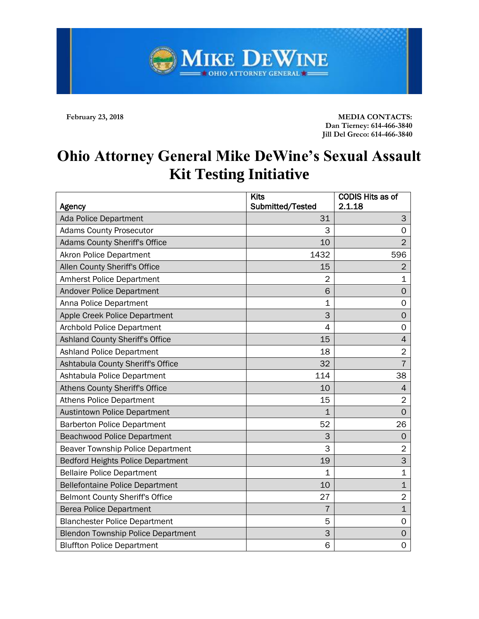**February 23, 2018 MEDIA CONTACTS: Dan Tierney: 614-466-3840 Jill Del Greco: 614-466-3840**

## **Ohio Attorney General Mike DeWine's Sexual Assault Kit Testing Initiative**

MIKE DEWINE

| Agency                                    | <b>Kits</b><br>Submitted/Tested | <b>CODIS Hits as of</b><br>2.1.18 |
|-------------------------------------------|---------------------------------|-----------------------------------|
| <b>Ada Police Department</b>              | 31                              | 3                                 |
| <b>Adams County Prosecutor</b>            | 3                               | $\Omega$                          |
| <b>Adams County Sheriff's Office</b>      | 10                              | $\overline{2}$                    |
| <b>Akron Police Department</b>            | 1432                            | 596                               |
| Allen County Sheriff's Office             | 15                              | $\overline{2}$                    |
| <b>Amherst Police Department</b>          | $\overline{2}$                  | $\mathbf 1$                       |
| <b>Andover Police Department</b>          | 6                               | $\mathbf 0$                       |
| Anna Police Department                    | 1                               | $\mathbf 0$                       |
| Apple Creek Police Department             | 3                               | $\mathbf 0$                       |
| <b>Archbold Police Department</b>         | $\overline{4}$                  | $\mathbf 0$                       |
| Ashland County Sheriff's Office           | 15                              | $\overline{4}$                    |
| <b>Ashland Police Department</b>          | 18                              | $\overline{2}$                    |
| Ashtabula County Sheriff's Office         | 32                              | $\overline{7}$                    |
| Ashtabula Police Department               | 114                             | 38                                |
| Athens County Sheriff's Office            | 10                              | 4                                 |
| <b>Athens Police Department</b>           | 15                              | $\overline{2}$                    |
| <b>Austintown Police Department</b>       | $\mathbf{1}$                    | $\overline{0}$                    |
| <b>Barberton Police Department</b>        | 52                              | 26                                |
| <b>Beachwood Police Department</b>        | 3                               | $\mathbf 0$                       |
| <b>Beaver Township Police Department</b>  | 3                               | $\overline{2}$                    |
| <b>Bedford Heights Police Department</b>  | 19                              | 3                                 |
| <b>Bellaire Police Department</b>         | 1                               | $\mathbf 1$                       |
| <b>Bellefontaine Police Department</b>    | 10                              | $\mathbf 1$                       |
| <b>Belmont County Sheriff's Office</b>    | 27                              | $\overline{2}$                    |
| <b>Berea Police Department</b>            | $\overline{7}$                  | $\mathbf{1}$                      |
| <b>Blanchester Police Department</b>      | 5                               | $\mathsf{O}\xspace$               |
| <b>Blendon Township Police Department</b> | 3                               | $\mathbf 0$                       |
| <b>Bluffton Police Department</b>         | 6                               | 0                                 |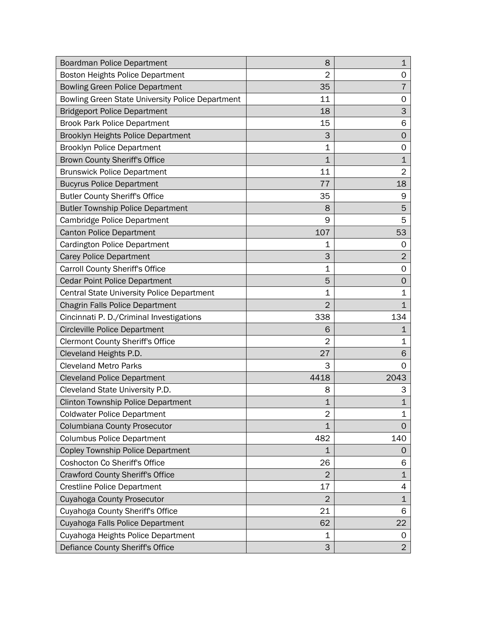| Boardman Police Department                       | 8              | $\mathbf 1$    |
|--------------------------------------------------|----------------|----------------|
| Boston Heights Police Department                 | $\overline{2}$ | 0              |
| <b>Bowling Green Police Department</b>           | 35             | 7              |
| Bowling Green State University Police Department | 11             | 0              |
| <b>Bridgeport Police Department</b>              | 18             | 3              |
| <b>Brook Park Police Department</b>              | 15             | 6              |
| Brooklyn Heights Police Department               | 3              | 0              |
| <b>Brooklyn Police Department</b>                | 1              | 0              |
| <b>Brown County Sheriff's Office</b>             | $\mathbf{1}$   | $\mathbf{1}$   |
| <b>Brunswick Police Department</b>               | 11             | $\overline{2}$ |
| <b>Bucyrus Police Department</b>                 | 77             | 18             |
| <b>Butler County Sheriff's Office</b>            | 35             | 9              |
| <b>Butler Township Police Department</b>         | 8              | 5              |
| Cambridge Police Department                      | 9              | 5              |
| <b>Canton Police Department</b>                  | 107            | 53             |
| <b>Cardington Police Department</b>              | 1              | 0              |
| <b>Carey Police Department</b>                   | 3              | $\overline{2}$ |
| <b>Carroll County Sheriff's Office</b>           | 1              | 0              |
| <b>Cedar Point Police Department</b>             | 5              | 0              |
| Central State University Police Department       | $\mathbf 1$    | 1              |
| <b>Chagrin Falls Police Department</b>           | $\overline{2}$ | $\mathbf 1$    |
| Cincinnati P. D./Criminal Investigations         | 338            | 134            |
| <b>Circleville Police Department</b>             | 6              | 1              |
| <b>Clermont County Sheriff's Office</b>          | $\overline{2}$ | 1              |
| Cleveland Heights P.D.                           | 27             | 6              |
| <b>Cleveland Metro Parks</b>                     | 3              | 0              |
| <b>Cleveland Police Department</b>               | 4418           | 2043           |
| Cleveland State University P.D.                  | 8              | 3              |
| <b>Clinton Township Police Department</b>        | 1              | $\mathbf{1}$   |
| <b>Coldwater Police Department</b>               | 2              | 1              |
| Columbiana County Prosecutor                     | $\overline{1}$ | $\mathbf 0$    |
| <b>Columbus Police Department</b>                | 482            | 140            |
| <b>Copley Township Police Department</b>         | $\mathbf{1}$   | 0              |
| Coshocton Co Sheriff's Office                    | 26             | 6              |
| <b>Crawford County Sheriff's Office</b>          | $\overline{2}$ | $\mathbf 1$    |
| <b>Crestline Police Department</b>               | 17             | 4              |
| Cuyahoga County Prosecutor                       | $\overline{2}$ | $\mathbf{1}$   |
| Cuyahoga County Sheriff's Office                 | 21             | 6              |
| Cuyahoga Falls Police Department                 | 62             | 22             |
| Cuyahoga Heights Police Department               | 1              | 0              |
| Defiance County Sheriff's Office                 | 3              | $\overline{2}$ |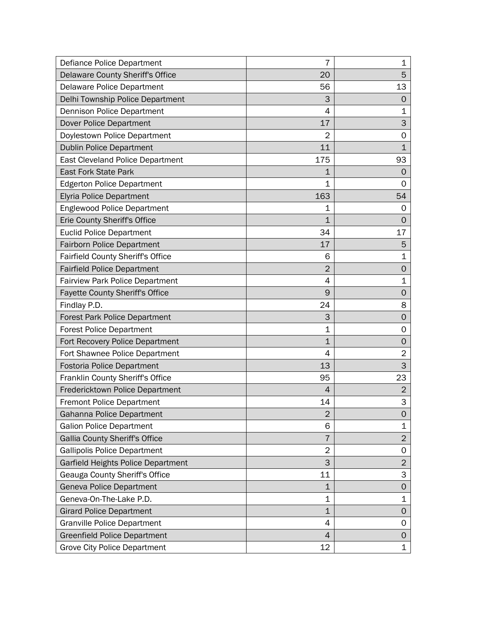| Defiance Police Department               | 7              | 1                   |
|------------------------------------------|----------------|---------------------|
| <b>Delaware County Sheriff's Office</b>  | 20             | 5                   |
| Delaware Police Department               | 56             | 13                  |
| Delhi Township Police Department         | 3              | 0                   |
| <b>Dennison Police Department</b>        | 4              | 1                   |
| Dover Police Department                  | 17             | 3                   |
| Doylestown Police Department             | $\overline{2}$ | 0                   |
| <b>Dublin Police Department</b>          | 11             | $\mathbf{1}$        |
| <b>East Cleveland Police Department</b>  | 175            | 93                  |
| <b>East Fork State Park</b>              | 1              | $\mathbf 0$         |
| <b>Edgerton Police Department</b>        | 1              | 0                   |
| <b>Elyria Police Department</b>          | 163            | 54                  |
| <b>Englewood Police Department</b>       | 1              | 0                   |
| Erie County Sheriff's Office             | 1              | O                   |
| <b>Euclid Police Department</b>          | 34             | 17                  |
| <b>Fairborn Police Department</b>        | 17             | 5                   |
| <b>Fairfield County Sheriff's Office</b> | 6              | 1                   |
| <b>Fairfield Police Department</b>       | $\overline{2}$ | 0                   |
| <b>Fairview Park Police Department</b>   | 4              | $\mathbf 1$         |
| Fayette County Sheriff's Office          | 9              | $\mathbf 0$         |
| Findlay P.D.                             | 24             | 8                   |
| <b>Forest Park Police Department</b>     | 3              | $\mathbf 0$         |
| <b>Forest Police Department</b>          | $\mathbf 1$    | 0                   |
| Fort Recovery Police Department          | 1              | 0                   |
| Fort Shawnee Police Department           | 4              | $\overline{2}$      |
| <b>Fostoria Police Department</b>        | 13             | 3                   |
| Franklin County Sheriff's Office         | 95             | 23                  |
| Fredericktown Police Department          | 4              | $\overline{2}$      |
| <b>Fremont Police Department</b>         | 14             | 3                   |
| Gahanna Police Department                | $\overline{2}$ | 0                   |
| <b>Galion Police Department</b>          | 6              | $\mathbf 1$         |
| <b>Gallia County Sheriff's Office</b>    | 7              | $\overline{2}$      |
| <b>Gallipolis Police Department</b>      | $\overline{2}$ | 0                   |
| Garfield Heights Police Department       | 3              | $\overline{2}$      |
| Geauga County Sheriff's Office           | 11             | 3                   |
| Geneva Police Department                 | $\mathbf 1$    | $\mathsf{O}\xspace$ |
| Geneva-On-The-Lake P.D.                  | $\mathbf 1$    | $\mathbf 1$         |
| <b>Girard Police Department</b>          | $\mathbf 1$    | 0                   |
| <b>Granville Police Department</b>       | 4              | 0                   |
| <b>Greenfield Police Department</b>      | 4              | 0                   |
| <b>Grove City Police Department</b>      | 12             | $\mathbf 1$         |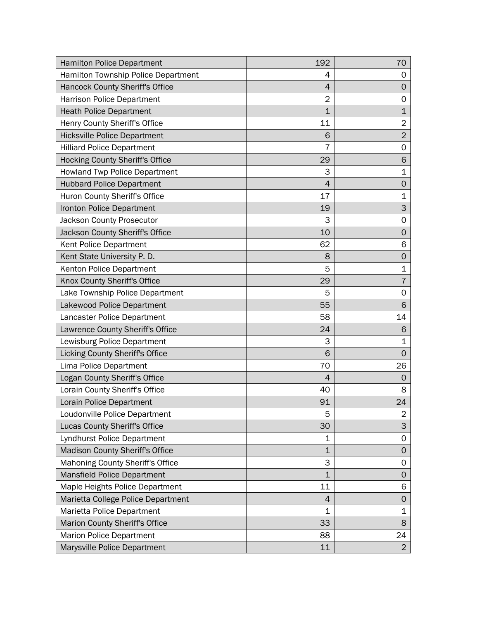| <b>Hamilton Police Department</b>      | 192            | 70             |
|----------------------------------------|----------------|----------------|
| Hamilton Township Police Department    | 4              | 0              |
| Hancock County Sheriff's Office        | 4              | 0              |
| <b>Harrison Police Department</b>      | $\overline{2}$ | 0              |
| <b>Heath Police Department</b>         | $\mathbf 1$    | $\mathbf 1$    |
| Henry County Sheriff's Office          | 11             | $\overline{2}$ |
| <b>Hicksville Police Department</b>    | 6              | $\overline{2}$ |
| <b>Hilliard Police Department</b>      | 7              | 0              |
| <b>Hocking County Sheriff's Office</b> | 29             | 6              |
| <b>Howland Twp Police Department</b>   | 3              | 1              |
| <b>Hubbard Police Department</b>       | 4              | 0              |
| Huron County Sheriff's Office          | 17             | $\mathbf 1$    |
| Ironton Police Department              | 19             | 3              |
| Jackson County Prosecutor              | 3              | 0              |
| Jackson County Sheriff's Office        | 10             | 0              |
| Kent Police Department                 | 62             | 6              |
| Kent State University P. D.            | 8              | 0              |
| Kenton Police Department               | 5              | 1              |
| Knox County Sheriff's Office           | 29             | $\overline{7}$ |
| Lake Township Police Department        | 5              | 0              |
| Lakewood Police Department             | 55             | 6              |
| Lancaster Police Department            | 58             | 14             |
| Lawrence County Sheriff's Office       | 24             | 6              |
| Lewisburg Police Department            | 3              | 1              |
| Licking County Sheriff's Office        | 6              | 0              |
| Lima Police Department                 | 70             | 26             |
| Logan County Sheriff's Office          | $\overline{4}$ | 0              |
| Lorain County Sheriff's Office         | 40             | 8              |
| Lorain Police Department               | 91             | 24             |
| Loudonville Police Department          | 5              | 2              |
| Lucas County Sheriff's Office          | 30             | 3              |
| Lyndhurst Police Department            | 1              | 0              |
| <b>Madison County Sheriff's Office</b> | $\overline{1}$ | 0              |
| Mahoning County Sheriff's Office       | 3              | 0              |
| <b>Mansfield Police Department</b>     | $\mathbf 1$    | 0              |
| Maple Heights Police Department        | 11             | 6              |
| Marietta College Police Department     | 4              | 0              |
| Marietta Police Department             | $\mathbf 1$    | $\mathbf{1}$   |
| Marion County Sheriff's Office         | 33             | 8              |
| <b>Marion Police Department</b>        | 88             | 24             |
| Marysville Police Department           | 11             | $\overline{2}$ |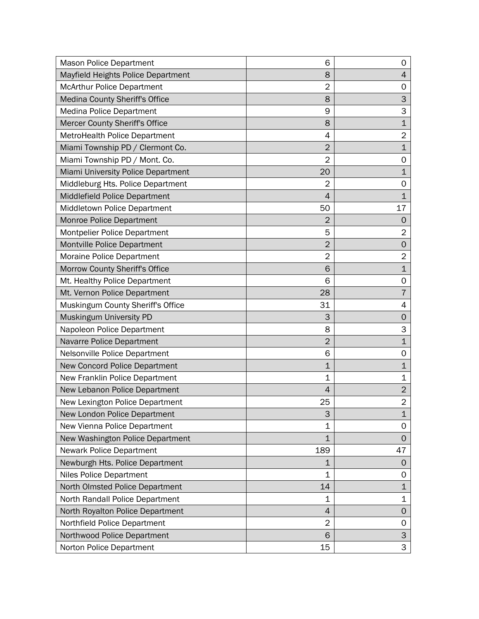| <b>Mason Police Department</b>     | 6              | 0              |
|------------------------------------|----------------|----------------|
| Mayfield Heights Police Department | 8              | 4              |
| <b>McArthur Police Department</b>  | $\overline{2}$ | 0              |
| Medina County Sheriff's Office     | 8              | 3              |
| <b>Medina Police Department</b>    | 9              | 3              |
| Mercer County Sheriff's Office     | 8              | $\mathbf{1}$   |
| MetroHealth Police Department      | 4              | $\overline{2}$ |
| Miami Township PD / Clermont Co.   | $\overline{2}$ | $\mathbf{1}$   |
| Miami Township PD / Mont. Co.      | $\overline{2}$ | 0              |
| Miami University Police Department | 20             | $\mathbf{1}$   |
| Middleburg Hts. Police Department  | 2              | 0              |
| Middlefield Police Department      | 4              | $\mathbf{1}$   |
| Middletown Police Department       | 50             | 17             |
| Monroe Police Department           | $\overline{2}$ | 0              |
| Montpelier Police Department       | 5              | $\overline{2}$ |
| Montville Police Department        | $\overline{2}$ | $\mathbf 0$    |
| Moraine Police Department          | $\overline{2}$ | $\overline{2}$ |
| Morrow County Sheriff's Office     | 6              | $\mathbf{1}$   |
| Mt. Healthy Police Department      | 6              | 0              |
| Mt. Vernon Police Department       | 28             | $\overline{7}$ |
| Muskingum County Sheriff's Office  | 31             | 4              |
| Muskingum University PD            | 3              | $\mathbf 0$    |
| Napoleon Police Department         | 8              | 3              |
| Navarre Police Department          | $\overline{2}$ | $\mathbf{1}$   |
| Nelsonville Police Department      | 6              | 0              |
| New Concord Police Department      | $\overline{1}$ | $\mathbf 1$    |
| New Franklin Police Department     | $\mathbf 1$    | $\mathbf 1$    |
| New Lebanon Police Department      | 4              | $\overline{2}$ |
| New Lexington Police Department    | 25             | $\overline{2}$ |
| New London Police Department       | 3              | $\mathbf 1$    |
| New Vienna Police Department       | $\overline{1}$ | 0              |
| New Washington Police Department   | $\mathbf 1$    | 0              |
| <b>Newark Police Department</b>    | 189            | 47             |
| Newburgh Hts. Police Department    | $\mathbf 1$    | $\mathbf 0$    |
| <b>Niles Police Department</b>     | $\mathbf 1$    | 0              |
| North Olmsted Police Department    | 14             | $\mathbf 1$    |
| North Randall Police Department    | $\mathbf 1$    | $\mathbf 1$    |
| North Royalton Police Department   | 4              | 0              |
| Northfield Police Department       | $\overline{2}$ | 0              |
| Northwood Police Department        | 6              | 3              |
| Norton Police Department           | 15             | 3              |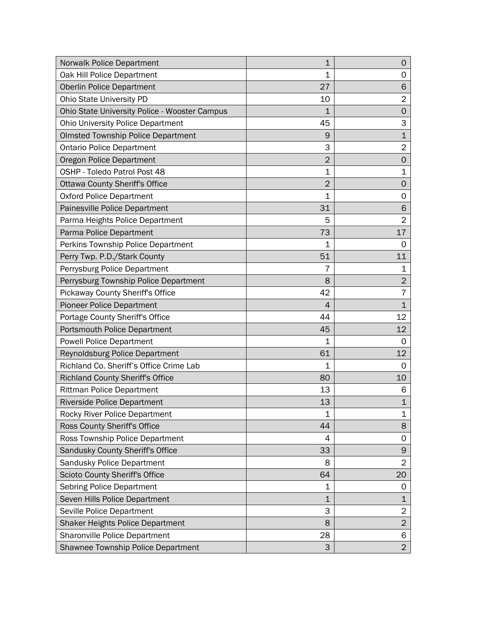| <b>Norwalk Police Department</b>              | $\mathbf{1}$   | 0              |
|-----------------------------------------------|----------------|----------------|
| Oak Hill Police Department                    | 1              | 0              |
| <b>Oberlin Police Department</b>              | 27             | 6              |
| Ohio State University PD                      | 10             | $\overline{2}$ |
| Ohio State University Police - Wooster Campus | $\mathbf{1}$   | $\mathbf 0$    |
| <b>Ohio University Police Department</b>      | 45             | 3              |
| <b>Olmsted Township Police Department</b>     | 9              | $\mathbf{1}$   |
| <b>Ontario Police Department</b>              | 3              | $\overline{2}$ |
| Oregon Police Department                      | $\overline{2}$ | $\mathbf 0$    |
| OSHP - Toledo Patrol Post 48                  | $\mathbf 1$    | $\mathbf 1$    |
| <b>Ottawa County Sheriff's Office</b>         | $\overline{2}$ | 0              |
| <b>Oxford Police Department</b>               | $\mathbf 1$    | 0              |
| Painesville Police Department                 | 31             | 6              |
| Parma Heights Police Department               | 5              | $\overline{2}$ |
| Parma Police Department                       | 73             | 17             |
| Perkins Township Police Department            | 1              | 0              |
| Perry Twp. P.D./Stark County                  | 51             | 11             |
| Perrysburg Police Department                  | 7              | 1              |
| Perrysburg Township Police Department         | 8              | $\overline{2}$ |
| Pickaway County Sheriff's Office              | 42             | 7              |
| <b>Pioneer Police Department</b>              | 4              | $\mathbf{1}$   |
| Portage County Sheriff's Office               | 44             | 12             |
| Portsmouth Police Department                  | 45             | 12             |
| <b>Powell Police Department</b>               | 1              | 0              |
| Reynoldsburg Police Department                | 61             | 12             |
| Richland Co. Sheriff's Office Crime Lab       | 1              | 0              |
| <b>Richland County Sheriff's Office</b>       | 80             | 10             |
| <b>Rittman Police Department</b>              | 13             | 6              |
| <b>Riverside Police Department</b>            | 13             | $\mathbf{1}$   |
| Rocky River Police Department                 | 1              | 1              |
| Ross County Sheriff's Office                  | 44             | 8              |
| Ross Township Police Department               | 4              | 0              |
| Sandusky County Sheriff's Office              | 33             | 9              |
| Sandusky Police Department                    | 8              | $\overline{2}$ |
| Scioto County Sheriff's Office                | 64             | 20             |
| <b>Sebring Police Department</b>              | 1              | 0              |
| Seven Hills Police Department                 | $\mathbf 1$    | $\mathbf{1}$   |
| Seville Police Department                     | 3              | $\overline{c}$ |
| <b>Shaker Heights Police Department</b>       | 8              | $\overline{2}$ |
| <b>Sharonville Police Department</b>          | 28             | 6              |
| Shawnee Township Police Department            | 3              | $\overline{2}$ |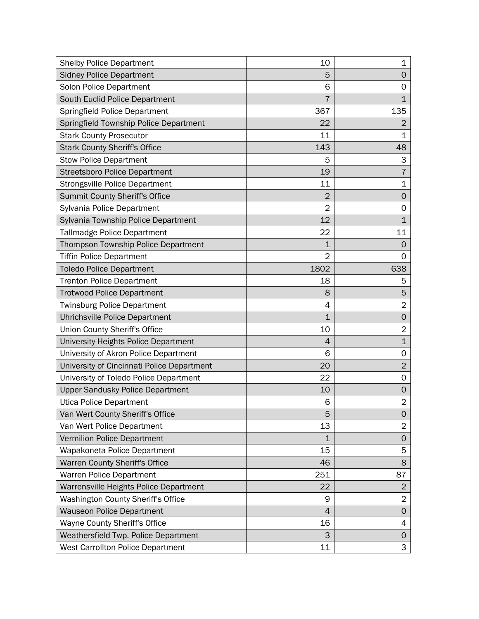| <b>Shelby Police Department</b>            | 10             | 1              |
|--------------------------------------------|----------------|----------------|
| <b>Sidney Police Department</b>            | 5              | 0              |
| Solon Police Department                    | 6              | 0              |
| South Euclid Police Department             |                | 1              |
| Springfield Police Department              | 367            | 135            |
| Springfield Township Police Department     | 22             | $\overline{2}$ |
| <b>Stark County Prosecutor</b>             | 11             | 1              |
| <b>Stark County Sheriff's Office</b>       | 143            | 48             |
| <b>Stow Police Department</b>              | 5              | 3              |
| <b>Streetsboro Police Department</b>       | 19             | 7              |
| <b>Strongsville Police Department</b>      | 11             | 1              |
| <b>Summit County Sheriff's Office</b>      | $\overline{2}$ | 0              |
| Sylvania Police Department                 | $\overline{2}$ | 0              |
| Sylvania Township Police Department        | 12             | $\mathbf 1$    |
| <b>Tallmadge Police Department</b>         | 22             | 11             |
| Thompson Township Police Department        | $\mathbf{1}$   | 0              |
| <b>Tiffin Police Department</b>            | $\overline{2}$ | 0              |
| <b>Toledo Police Department</b>            | 1802           | 638            |
| <b>Trenton Police Department</b>           | 18             | 5              |
| <b>Trotwood Police Department</b>          | 8              | 5              |
| <b>Twinsburg Police Department</b>         | 4              | $\overline{2}$ |
| Uhrichsville Police Department             | $\mathbf 1$    | 0              |
| Union County Sheriff's Office              | 10             | $\overline{2}$ |
| University Heights Police Department       | 4              | $\mathbf 1$    |
| University of Akron Police Department      | 6              | 0              |
| University of Cincinnati Police Department | 20             | $\overline{2}$ |
| University of Toledo Police Department     | 22             | 0              |
| <b>Upper Sandusky Police Department</b>    | 10             | 0              |
| <b>Utica Police Department</b>             | 6              | $\overline{2}$ |
| Van Wert County Sheriff's Office           | 5              | 0              |
| Van Wert Police Department                 | 13             | $\overline{2}$ |
| Vermilion Police Department                | $\mathbf{1}$   | 0              |
| Wapakoneta Police Department               | 15             | 5              |
| Warren County Sheriff's Office             | 46             | 8              |
| <b>Warren Police Department</b>            | 251            | 87             |
| Warrensville Heights Police Department     | 22             | $\overline{2}$ |
| <b>Washington County Sheriff's Office</b>  | 9              | $\overline{2}$ |
| <b>Wauseon Police Department</b>           | 4              | 0              |
| Wayne County Sheriff's Office              | 16             | 4              |
| Weathersfield Twp. Police Department       | 3              | 0              |
| West Carrollton Police Department          | 11             | 3              |